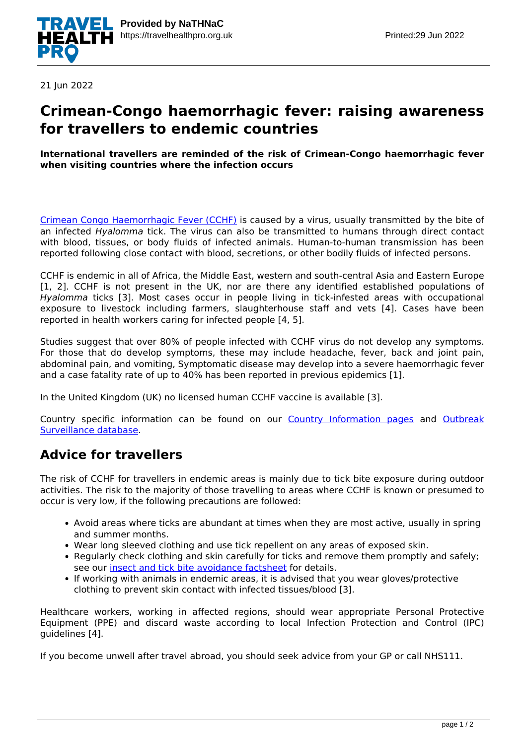

21 Jun 2022

## **Crimean-Congo haemorrhagic fever: raising awareness for travellers to endemic countries**

#### **International travellers are reminded of the risk of Crimean-Congo haemorrhagic fever when visiting countries where the infection occurs**

[Crimean Congo Haemorrhagic Fever \(CCHF\)](https://www.who.int/health-topics/crimean-congo-haemorrhagic-fever#tab=tab_1) is caused by a virus, usually transmitted by the bite of an infected *Hyalomma* tick. The virus can also be transmitted to humans through direct contact with blood, tissues, or body fluids of infected animals. Human-to-human transmission has been reported following close contact with blood, secretions, or other bodily fluids of infected persons.

CCHF is endemic in all of Africa, the Middle East, western and south-central Asia and Eastern Europe [1, 2]. CCHF is not present in the UK, nor are there any identified established populations of *Hyalomma* ticks [3]. Most cases occur in people living in tick-infested areas with occupational exposure to livestock including farmers, slaughterhouse staff and vets [4]. Cases have been reported in health workers caring for infected people [4, 5].

Studies suggest that over 80% of people infected with CCHF virus do not develop any symptoms. For those that do develop symptoms, these may include headache, fever, back and joint pain, abdominal pain, and vomiting, Symptomatic disease may develop into a severe haemorrhagic fever and a case fatality rate of up to 40% has been reported in previous epidemics [1].

In the United Kingdom (UK) no licensed human CCHF vaccine is available [3].

Country specific information can be found on our [Country Information pages](https://travelhealthpro.org.uk/countries) and [Outbreak](http://travelhealthpro.org.uk/outbreak-surveillance/) [Surveillance database](http://travelhealthpro.org.uk/outbreak-surveillance/).

### **Advice for travellers**

The risk of CCHF for travellers in endemic areas is mainly due to tick bite exposure during outdoor activities. The risk to the majority of those travelling to areas where CCHF is known or presumed to occur is very low, if the following precautions are followed:

- Avoid areas where ticks are abundant at times when they are most active, usually in spring and summer months.
- Wear long sleeved clothing and use tick repellent on any areas of exposed skin.
- Regularly check clothing and skin carefully for ticks and remove them promptly and safely; see our [insect and tick bite avoidance factsheet](https://travelhealthpro.org.uk/factsheet/38/insect-and-tick-bite-avoidance) for details.
- If working with animals in endemic areas, it is advised that you wear gloves/protective clothing to prevent skin contact with infected tissues/blood [3].

Healthcare workers, working in affected regions, should wear appropriate Personal Protective Equipment (PPE) and discard waste according to local Infection Protection and Control (IPC) guidelines [4].

If you become unwell after travel abroad, you should seek advice from your GP or call NHS111.